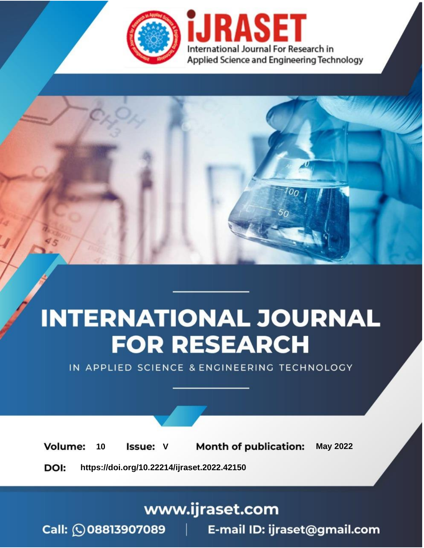

# **INTERNATIONAL JOURNAL FOR RESEARCH**

IN APPLIED SCIENCE & ENGINEERING TECHNOLOGY

Volume: **Month of publication: May 2022** 10 **Issue: V** 

DOI: https://doi.org/10.22214/ijraset.2022.42150

www.ijraset.com

Call: 008813907089 | E-mail ID: ijraset@gmail.com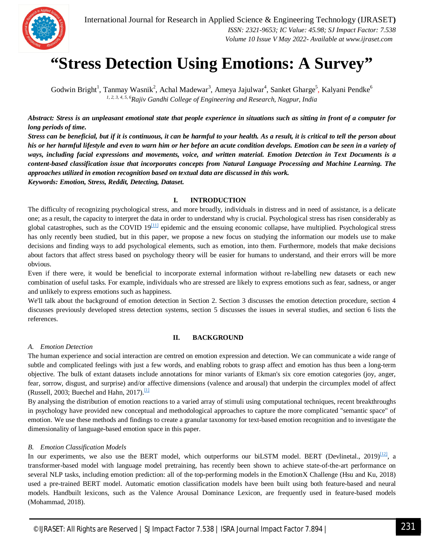

### **"Stress Detection Using Emotions: A Survey"**

Godwin Bright<sup>1</sup>, Tanmay Wasnik<sup>2</sup>, Achal Madewar<sup>3</sup>, Ameya Jajulwar<sup>4</sup>, Sanket Gharge<sup>5</sup>, Kalyani Pendke<sup>6</sup> *1, 2, 3, 4, 5, 6Rajiv Gandhi College of Engineering and Research, Nagpur, India*

*Abstract: Stress is an unpleasant emotional state that people experience in situations such as sitting in front of a computer for long periods of time.* 

*Stress can be beneficial, but if it is continuous, it can be harmful to your health. As a result, it is critical to tell the person about his or her harmful lifestyle and even to warn him or her before an acute condition develops. Emotion can be seen in a variety of ways, including facial expressions and movements, voice, and written material. Emotion Detection in Text Documents is a content-based classification issue that incorporates concepts from Natural Language Processing and Machine Learning. The approaches utilized in emotion recognition based on textual data are discussed in this work. Keywords: Emotion, Stress, Reddit, Detecting, Dataset.*

**I. INTRODUCTION**

The difficulty of recognizing psychological stress, and more broadly, individuals in distress and in need of assistance, is a delicate one; as a result, the capacity to interpret the data in order to understand why is crucial. Psychological stress has risen considerably as global catastrophes, such as the COVID  $19^{[11]}$  epidemic and the ensuing economic collapse, have multiplied. Psychological stress has only recently been studied, but in this paper, we propose a new focus on studying the information our models use to make decisions and finding ways to add psychological elements, such as emotion, into them. Furthermore, models that make decisions about factors that affect stress based on psychology theory will be easier for humans to understand, and their errors will be more obvious.

Even if there were, it would be beneficial to incorporate external information without re-labelling new datasets or each new combination of useful tasks. For example, individuals who are stressed are likely to express emotions such as fear, sadness, or anger and unlikely to express emotions such as happiness.

We'll talk about the background of emotion detection in Section 2. Section 3 discusses the emotion detection procedure, section 4 discusses previously developed stress detection systems, section 5 discusses the issues in several studies, and section 6 lists the references.

#### **II. BACKGROUND**

#### *A. Emotion Detection*

The human experience and social interaction are centred on emotion expression and detection. We can communicate a wide range of subtle and complicated feelings with just a few words, and enabling robots to grasp affect and emotion has thus been a long-term objective. The bulk of extant datasets include annotations for minor variants of Ekman's six core emotion categories (joy, anger, fear, sorrow, disgust, and surprise) and/or affective dimensions (valence and arousal) that underpin the circumplex model of affect (Russell, 2003; Buechel and Hahn, 2017). $\frac{11}{11}$ 

By analysing the distribution of emotion reactions to a varied array of stimuli using computational techniques, recent breakthroughs in psychology have provided new conceptual and methodological approaches to capture the more complicated "semantic space" of emotion. We use these methods and findings to create a granular taxonomy for text-based emotion recognition and to investigate the dimensionality of language-based emotion space in this paper.

#### *B. Emotion Classification Models*

In our experiments, we also use the BERT model, which outperforms our biLSTM model. BERT (Devlinetal., 2019)<sup>[12]</sup>, a transformer-based model with language model pretraining, has recently been shown to achieve state-of-the-art performance on several NLP tasks, including emotion prediction: all of the top-performing models in the EmotionX Challenge (Hsu and Ku, 2018) used a pre-trained BERT model. Automatic emotion classification models have been built using both feature-based and neural models. Handbuilt lexicons, such as the Valence Arousal Dominance Lexicon, are frequently used in feature-based models (Mohammad, 2018).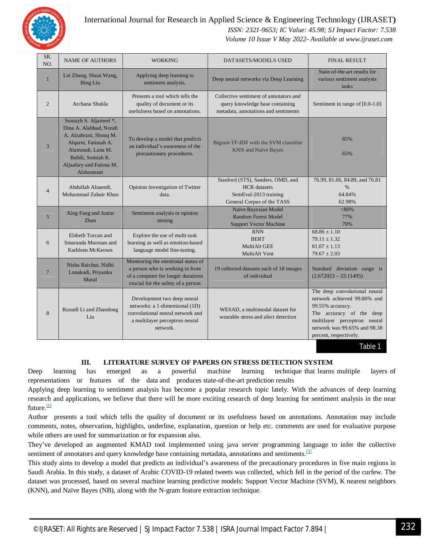

#### International Journal for Research in Applied Science & Engineering Technology (IJRASET**)**

 *ISSN: 2321-9653; IC Value: 45.98; SJ Impact Factor: 7.538*

 *Volume 10 Issue V May 2022- Available at www.ijraset.com*

| SR.<br>NO.      | <b>NAME OF AUTHORS</b>                                                                                                                                                              | <b>WORKING</b>                                                                                                                                     | DATASETS/MODELS USED                                                                                              | <b>FINAL RESULT</b>                                                                                                                                                                                    |
|-----------------|-------------------------------------------------------------------------------------------------------------------------------------------------------------------------------------|----------------------------------------------------------------------------------------------------------------------------------------------------|-------------------------------------------------------------------------------------------------------------------|--------------------------------------------------------------------------------------------------------------------------------------------------------------------------------------------------------|
| $\mathbf{1}$    | Lei Zhang, Shuai Wang,<br><b>Bing Liu</b>                                                                                                                                           | Applying deep learning to<br>sentiment analysis.                                                                                                   | Deep neural networks via Deep Learning                                                                            | State-of-the-art results for<br>various sentiment analysis<br>tasks                                                                                                                                    |
| $\overline{2}$  | Archana Shukla                                                                                                                                                                      | Presents a tool which tells the<br>quality of document or its<br>usefulness based on annotations.                                                  | Collective sentiment of annotators and<br>query knowledge base containing<br>metadata, annotations and sentiments | Sentiment in range of [0.0-1.0]                                                                                                                                                                        |
| $\overline{3}$  | Sumayh S. Aljameel *,<br>Dina A. Alabbad, Norah<br>A. Alzahrani, Shouq M.<br>Alqarni, Fatimah A.<br>Alamoudi, Lana M.<br>Babili. Somiah K.<br>Aljaafary and Fatima M.<br>Alshamrani | To develop a model that predicts<br>an individual's awareness of the<br>precautionary procedures.                                                  | Bigram TF-IDF with the SVM classifier<br><b>KNN</b> and Naïve Bayes                                               | 85%<br>65%                                                                                                                                                                                             |
| $\overline{4}$  | Abdullah Alsaeedi,<br>Mohammad Zubair Khan                                                                                                                                          | Opinion investigation of Twitter<br>data.                                                                                                          | Stanford (STS), Sanders, OMD, and<br><b>HCR</b> datasets<br>SemEval-2013 training<br>General Corpus of the TASS   | 76.99, 81.06, 84.89, and 76.81<br>$\%$<br>64.84%<br>62.98%                                                                                                                                             |
| 5               | Xing Fang and Justin<br>Zhan                                                                                                                                                        | Sentiment analysis or opinion<br>mining                                                                                                            | Naïve Bayesian Model<br><b>Random Forest Model</b><br><b>Support Vector Machine</b>                               | $>80\%$<br>77%<br>70%                                                                                                                                                                                  |
| 6               | Elsbeth Turcan and<br>Smaranda Muresan and<br>Kathleen McKeown                                                                                                                      | Explore the use of multi-task<br>learning as well as emotion-based<br>language model fine-tuning.                                                  | <b>RNN</b><br><b>BERT</b><br>MultiAlt GEE<br>MultiAlt Vent                                                        | $68.86 \pm 1.10$<br>$79.11 \pm 1.32$<br>$81.07 \pm 1.13$<br>$79.67 \pm 2.03$                                                                                                                           |
| $7\phantom{.0}$ | Nisha Raichur, Nidhi<br>Lonakadi, Priyanka<br>Mural                                                                                                                                 | Monitoring the emotional status of<br>a person who is working in front<br>of a computer for longer durations<br>crucial for the safety of a person | 19 collected datasets each of 18 images<br>of individual                                                          | Standard deviation range is<br>$(2.672023 - 33.11495)$                                                                                                                                                 |
| 8               | Russell Li and Zhandong<br>Liu                                                                                                                                                      | Development two deep neural<br>networks: a 1-dimensional (1D)<br>convolutional neural network and<br>a multilayer perceptron neural<br>network.    | WESAD, a multimodal dataset for<br>wearable stress and afect detection                                            | The deep convolutional neural<br>network achieved 99.80% and<br>99.55% accuracy.<br>The accuracy of the deep<br>multilayer perceptron neural<br>network was 99.65% and 98.38<br>percent, respectively. |

Table 1

#### **III. LITERATURE SURVEY OF PAPERS ON STRESS DETECTION SYSTEM**

Deep learning has emerged as a powerful machine learning technique that learns multiple layers of representations or features of the data and produces state-of-the-art prediction results

Applying deep learning to sentiment analysis has become a popular research topic lately. With the advances of deep learning research and applications, we believe that there will be more exciting research of deep learning for sentiment analysis in the near future.<sup>[2]</sup>

Author presents a tool which tells the quality of document or its usefulness based on annotations. Annotation may include comments, notes, observation, highlights, underline, explanation, question or help etc. comments are used for evaluative purpose while others are used for summarization or for expansion also.

They've developed an augmented KMAD tool implemented using java server programming language to infer the collective sentiment of annotators and query knowledge base containing metadata, annotations and sentiments. $[3]$ 

This study aims to develop a model that predicts an individual's awareness of the precautionary procedures in five main regions in Saudi Arabia. In this study, a dataset of Arabic COVID-19 related tweets was collected, which fell in the period of the curfew. The dataset was processed, based on several machine learning predictive models: Support Vector Machine (SVM), K nearest neighbors (KNN), and Naïve Bayes (NB), along with the N-gram feature extraction technique.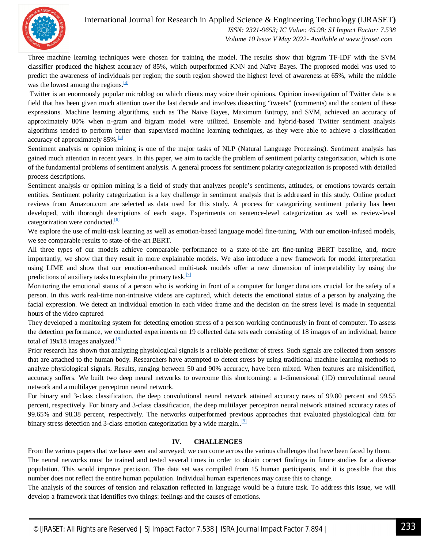

#### International Journal for Research in Applied Science & Engineering Technology (IJRASET**)**

 *ISSN: 2321-9653; IC Value: 45.98; SJ Impact Factor: 7.538 Volume 10 Issue V May 2022- Available at www.ijraset.com*

Three machine learning techniques were chosen for training the model. The results show that bigram TF-IDF with the SVM classifier produced the highest accuracy of 85%, which outperformed KNN and Naïve Bayes. The proposed model was used to predict the awareness of individuals per region; the south region showed the highest level of awareness at 65%, while the middle was the lowest among the regions. $\frac{[4]}{[4]}$ 

Twitter is an enormously popular microblog on which clients may voice their opinions. Opinion investigation of Twitter data is a field that has been given much attention over the last decade and involves dissecting "tweets" (comments) and the content of these expressions. Machine learning algorithms, such as The Naive Bayes, Maximum Entropy, and SVM, achieved an accuracy of approximately 80% when n-gram and bigram model were utilized. Ensemble and hybrid-based Twitter sentiment analysis algorithms tended to perform better than supervised machine learning techniques, as they were able to achieve a classification accuracy of approximately 85%.<sup>[5]</sup>

Sentiment analysis or opinion mining is one of the major tasks of NLP (Natural Language Processing). Sentiment analysis has gained much attention in recent years. In this paper, we aim to tackle the problem of sentiment polarity categorization, which is one of the fundamental problems of sentiment analysis. A general process for sentiment polarity categorization is proposed with detailed process descriptions.

Sentiment analysis or opinion mining is a field of study that analyzes people's sentiments, attitudes, or emotions towards certain entities. Sentiment polarity categorization is a key challenge in sentiment analysis that is addressed in this study. Online product reviews from Amazon.com are selected as data used for this study. A process for categorizing sentiment polarity has been developed, with thorough descriptions of each stage. Experiments on sentence-level categorization as well as review-level categorization were conducted.<sup>[6]</sup>

We explore the use of multi-task learning as well as emotion-based language model fine-tuning. With our emotion-infused models, we see comparable results to state-of-the-art BERT.

All three types of our models achieve comparable performance to a state-of-the art fine-tuning BERT baseline, and, more importantly, we show that they result in more explainable models. We also introduce a new framework for model interpretation using LIME and show that our emotion-enhanced multi-task models offer a new dimension of interpretability by using the predictions of auxiliary tasks to explain the primary task. $[7]$ 

Monitoring the emotional status of a person who is working in front of a computer for longer durations crucial for the safety of a person. In this work real-time non-intrusive videos are captured, which detects the emotional status of a person by analyzing the facial expression. We detect an individual emotion in each video frame and the decision on the stress level is made in sequential hours of the video captured

They developed a monitoring system for detecting emotion stress of a person working continuously in front of computer. To assess the detection performance, we conducted experiments on 19 collected data sets each consisting of 18 images of an individual, hence total of  $19x18$  images analyzed.<sup>[8]</sup>

Prior research has shown that analyzing physiological signals is a reliable predictor of stress. Such signals are collected from sensors that are attached to the human body. Researchers have attempted to detect stress by using traditional machine learning methods to analyze physiological signals. Results, ranging between 50 and 90% accuracy, have been mixed. When features are misidentified, accuracy suffers. We built two deep neural networks to overcome this shortcoming: a 1-dimensional (1D) convolutional neural network and a multilayer perceptron neural network.

For binary and 3-class classification, the deep convolutional neural network attained accuracy rates of 99.80 percent and 99.55 percent, respectively. For binary and 3-class classification, the deep multilayer perceptron neural network attained accuracy rates of 99.65% and 98.38 percent, respectively. The networks outperformed previous approaches that evaluated physiological data for binary stress detection and 3-class emotion categorization by a wide margin..<sup>[9]</sup>

#### **IV. CHALLENGES**

From the various papers that we have seen and surveyed; we can come across the various challenges that have been faced by them. The neural networks must be trained and tested several times in order to obtain correct findings in future studies for a diverse population. This would improve precision. The data set was compiled from 15 human participants, and it is possible that this number does not reflect the entire human population. Individual human experiences may cause this to change.

The analysis of the sources of tension and relaxation reflected in language would be a future task. To address this issue, we will develop a framework that identifies two things: feelings and the causes of emotions.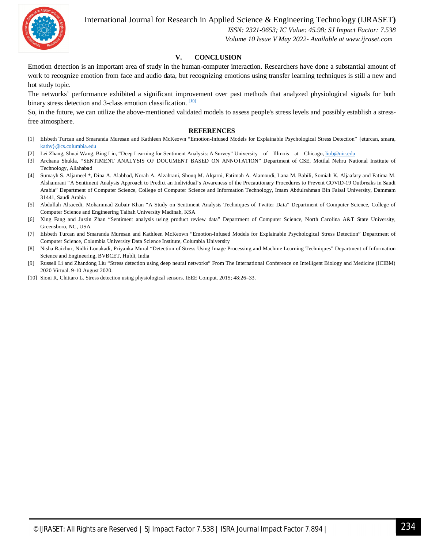International Journal for Research in Applied Science & Engineering Technology (IJRASET**)**



 *ISSN: 2321-9653; IC Value: 45.98; SJ Impact Factor: 7.538 Volume 10 Issue V May 2022- Available at www.ijraset.com*

#### **V. CONCLUSION**

Emotion detection is an important area of study in the human-computer interaction. Researchers have done a substantial amount of work to recognize emotion from face and audio data, but recognizing emotions using transfer learning techniques is still a new and hot study topic.

The networks' performance exhibited a significant improvement over past methods that analyzed physiological signals for both binary stress detection and 3-class emotion classification. <sup>[10]</sup>

So, in the future, we can utilize the above-mentioned validated models to assess people's stress levels and possibly establish a stressfree atmosphere.

#### **REFERENCES**

- [1] Elsbeth Turcan and Smaranda Muresan and Kathleen McKeown "Emotion-Infused Models for Explainable Psychological Stress Detection" {eturcan, smara, kathy}@cs.columbia.edu
- [2] Lei Zhang, Shuai Wang, Bing Liu, "Deep Learning for Sentiment Analysis: A Survey" University of Illinois at Chicago, liub@uic.edu
- [3] Archana Shukla, "SENTIMENT ANALYSIS OF DOCUMENT BASED ON ANNOTATION" Department of CSE, Motilal Nehru National Institute of Technology, Allahabad
- [4] Sumayh S. Aljameel \*, Dina A. Alabbad, Norah A. Alzahrani, Shouq M. Alqarni, Fatimah A. Alamoudi, Lana M. Babili, Somiah K. Aljaafary and Fatima M. Alshamrani "A Sentiment Analysis Approach to Predict an Individual's Awareness of the Precautionary Procedures to Prevent COVID-19 Outbreaks in Saudi Arabia" Department of Computer Science, College of Computer Science and Information Technology, Imam Abdulrahman Bin Faisal University, Dammam 31441, Saudi Arabia
- [5] Abdullah Alsaeedi, Mohammad Zubair Khan "A Study on Sentiment Analysis Techniques of Twitter Data" Department of Computer Science, College of Computer Science and Engineering Taibah University Madinah, KSA
- [6] Xing Fang and Justin Zhan "Sentiment analysis using product review data" Department of Computer Science, North Carolina A&T State University, Greensboro, NC, USA
- [7] Elsbeth Turcan and Smaranda Muresan and Kathleen McKeown "Emotion-Infused Models for Explainable Psychological Stress Detection" Department of Computer Science, Columbia University Data Science Institute, Columbia University
- [8] Nisha Raichur, Nidhi Lonakadi, Priyanka Mural "Detection of Stress Using Image Processing and Machine Learning Techniques" Department of Information Science and Engineering, BVBCET, Hubli, India
- [9] Russell Li and Zhandong Liu "Stress detection using deep neural networks" From The International Conference on Intelligent Biology and Medicine (ICIBM) 2020 Virtual. 9-10 August 2020.
- [10] Sioni R, Chittaro L. Stress detection using physiological sensors. IEEE Comput. 2015; 48:26–33.